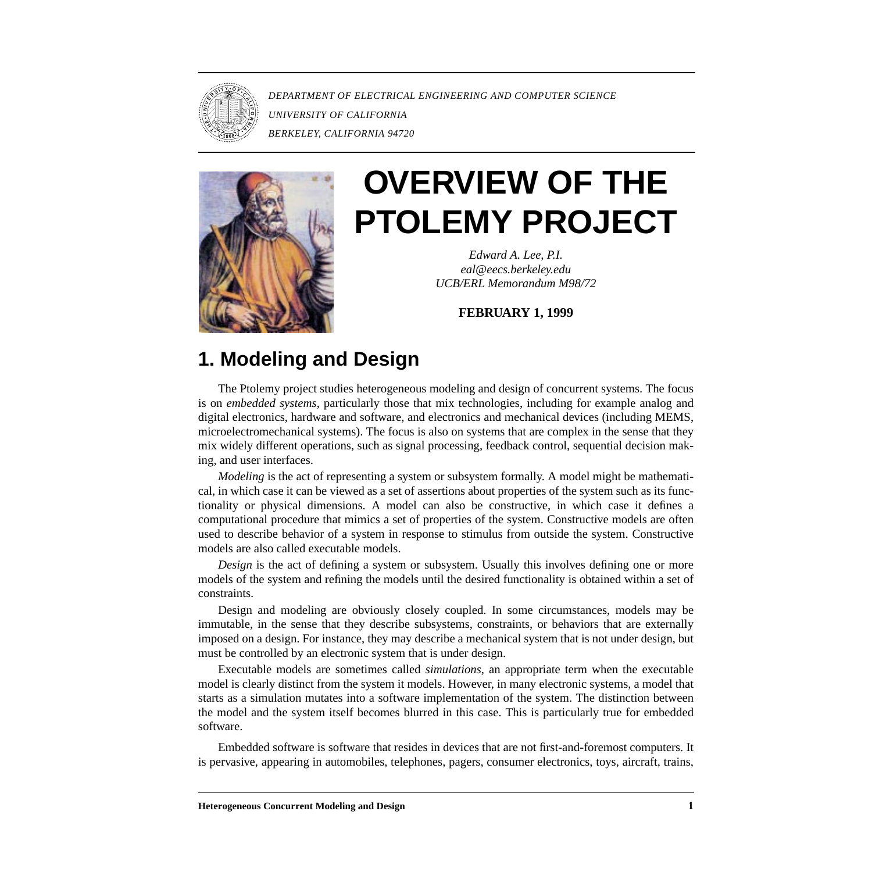

*DEPARTMENT OF ELECTRICAL ENGINEERING AND COMPUTER SCIENCE UNIVERSITY OF CALIFORNIA BERKELEY, CALIFORNIA 94720*



# **OVERVIEW OF THE PTOLEMY PROJECT**

*Edward A. Lee, P.I. eal@eecs.berkeley.edu UCB/ERL Memorandum M98/72*

**FEBRUARY 1, 1999**

# **1. Modeling and Design**

The Ptolemy project studies heterogeneous modeling and design of concurrent systems. The focus is on *embedded systems*, particularly those that mix technologies, including for example analog and digital electronics, hardware and software, and electronics and mechanical devices (including MEMS, microelectromechanical systems). The focus is also on systems that are complex in the sense that they mix widely different operations, such as signal processing, feedback control, sequential decision making, and user interfaces.

*Modeling* is the act of representing a system or subsystem formally. A model might be mathematical, in which case it can be viewed as a set of assertions about properties of the system such as its functionality or physical dimensions. A model can also be constructive, in which case it defines a computational procedure that mimics a set of properties of the system. Constructive models are often used to describe behavior of a system in response to stimulus from outside the system. Constructive models are also called executable models.

*Design* is the act of defining a system or subsystem. Usually this involves defining one or more models of the system and refining the models until the desired functionality is obtained within a set of constraints.

Design and modeling are obviously closely coupled. In some circumstances, models may be immutable, in the sense that they describe subsystems, constraints, or behaviors that are externally imposed on a design. For instance, they may describe a mechanical system that is not under design, but must be controlled by an electronic system that is under design.

Executable models are sometimes called *simulations*, an appropriate term when the executable model is clearly distinct from the system it models. However, in many electronic systems, a model that starts as a simulation mutates into a software implementation of the system. The distinction between the model and the system itself becomes blurred in this case. This is particularly true for embedded software.

Embedded software is software that resides in devices that are not first-and-foremost computers. It is pervasive, appearing in automobiles, telephones, pagers, consumer electronics, toys, aircraft, trains,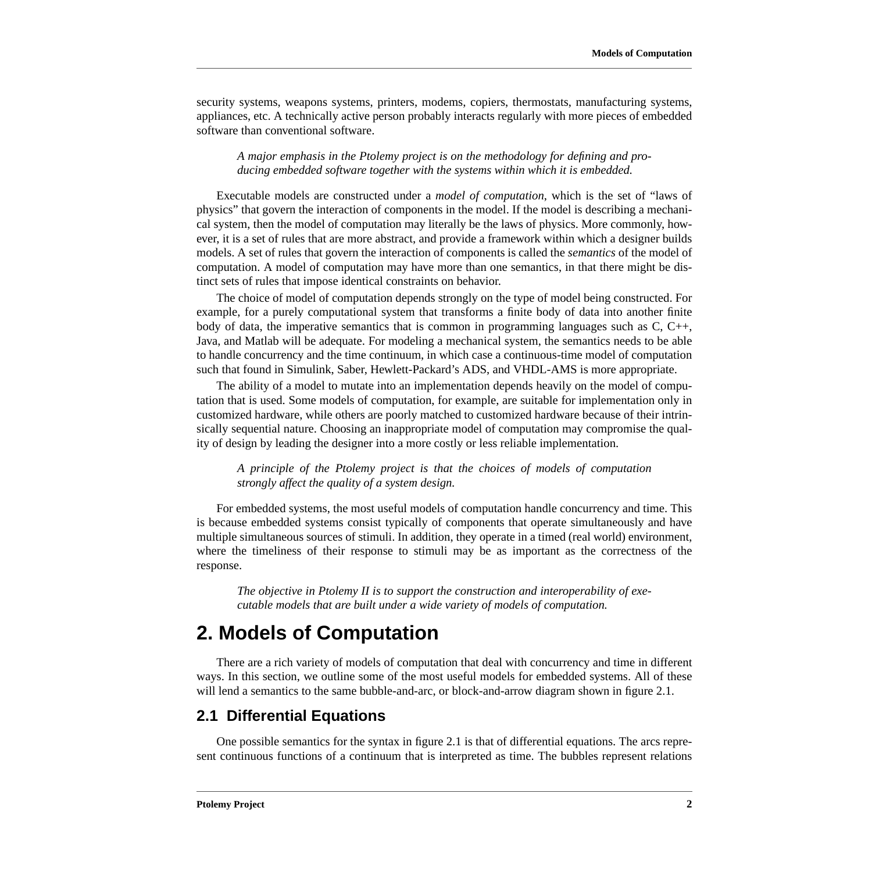security systems, weapons systems, printers, modems, copiers, thermostats, manufacturing systems, appliances, etc. A technically active person probably interacts regularly with more pieces of embedded software than conventional software.

#### *A major emphasis in the Ptolemy project is on the methodology for defining and producing embedded software together with the systems within which it is embedded.*

Executable models are constructed under a *model of computation*, which is the set of "laws of physics" that govern the interaction of components in the model. If the model is describing a mechanical system, then the model of computation may literally be the laws of physics. More commonly, however, it is a set of rules that are more abstract, and provide a framework within which a designer builds models. A set of rules that govern the interaction of components is called the *semantics* of the model of computation. A model of computation may have more than one semantics, in that there might be distinct sets of rules that impose identical constraints on behavior.

The choice of model of computation depends strongly on the type of model being constructed. For example, for a purely computational system that transforms a finite body of data into another finite body of data, the imperative semantics that is common in programming languages such as  $C, C++,$ Java, and Matlab will be adequate. For modeling a mechanical system, the semantics needs to be able to handle concurrency and the time continuum, in which case a continuous-time model of computation such that found in Simulink, Saber, Hewlett-Packard's ADS, and VHDL-AMS is more appropriate.

The ability of a model to mutate into an implementation depends heavily on the model of computation that is used. Some models of computation, for example, are suitable for implementation only in customized hardware, while others are poorly matched to customized hardware because of their intrinsically sequential nature. Choosing an inappropriate model of computation may compromise the quality of design by leading the designer into a more costly or less reliable implementation.

*A principle of the Ptolemy project is that the choices of models of computation strongly affect the quality of a system design.*

For embedded systems, the most useful models of computation handle concurrency and time. This is because embedded systems consist typically of components that operate simultaneously and have multiple simultaneous sources of stimuli. In addition, they operate in a timed (real world) environment, where the timeliness of their response to stimuli may be as important as the correctness of the response.

*The objective in Ptolemy II is to support the construction and interoperability of executable models that are built under a wide variety of models of computation.*

# **2. Models of Computation**

There are a rich variety of models of computation that deal with concurrency and time in different ways. In this section, we outline some of the most useful models for embedded systems. All of these will lend a semantics to the same bubble-and-arc, or block-and-arrow diagram shown in figure 2[.](#page-2-0)1.

## **2.1 Differential Equations**

One possible semantics for the syntax in figure [2.1](#page-2-0) is that of differential equations. The arcs represent continuous functions of a continuum that is interpreted as time. The bubbles represent relations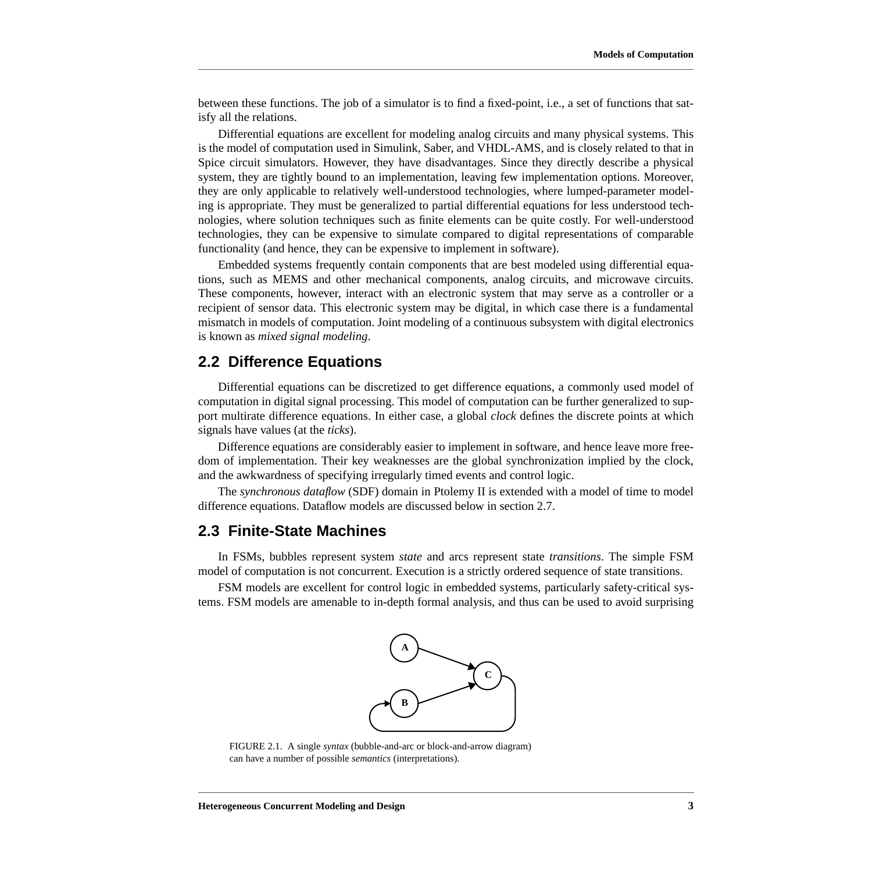<span id="page-2-0"></span>between these functions. The job of a simulator is to find a fixed-point, i.e., a set of functions that satisfy all the relations.

Differential equations are excellent for modeling analog circuits and many physical systems. This is the model of computation used in Simulink, Saber, and VHDL-AMS, and is closely related to that in Spice circuit simulators. However, they have disadvantages. Since they directly describe a physical system, they are tightly bound to an implementation, leaving few implementation options. Moreover, they are only applicable to relatively well-understood technologies, where lumped-parameter modeling is appropriate. They must be generalized to partial differential equations for less understood technologies, where solution techniques such as finite elements can be quite costly. For well-understood technologies, they can be expensive to simulate compared to digital representations of comparable functionality (and hence, they can be expensive to implement in software).

Embedded systems frequently contain components that are best modeled using differential equations, such as MEMS and other mechanical components, analog circuits, and microwave circuits. These components, however, interact with an electronic system that may serve as a controller or a recipient of sensor data. This electronic system may be digital, in which case there is a fundamental mismatch in models of computation. Joint modeling of a continuous subsystem with digital electronics is known as *mixed signal modeling*.

## **2.2 Difference Equations**

Differential equations can be discretized to get difference equations, a commonly used model of computation in digital signal processing. This model of computation can be further generalized to support multirate difference equations. In either case, a global *clock* defines the discrete points at which signals have values (at the *ticks*).

Difference equations are considerably easier to implement in software, and hence leave more freedom of implementation. Their key weaknesses are the global synchronization implied by the clock, and the awkwardness of specifying irregularly timed events and control logic.

The *synchronous dataflow* (SDF) domain in Ptolemy II is extended with a model of time to model difference equations. Dataflow models are discussed below in se[ction 2.7.](#page-4-0)

#### **2.3 Finite-State Machines**

In FSMs, bubbles represent system *state* and arcs represent state *transitions*. The simple FSM model of computation is not concurrent. Execution is a strictly ordered sequence of state transitions.

FSM models are excellent for control logic in embedded systems, particularly safety-critical systems. FSM models are amenable to in-depth formal analysis, and thus can be used to avoid surprising



FIGURE 2.1. A single *syntax* (bubble-and-arc or block-and-arrow diagram) can have a number of possible *semantics* (interpretations).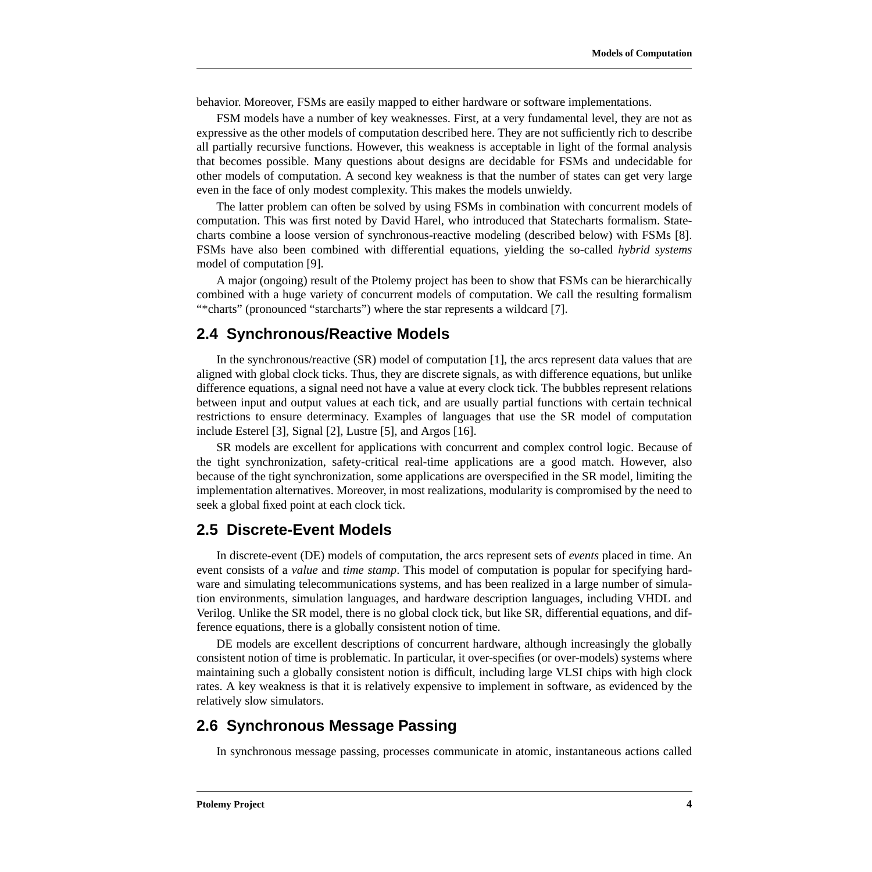behavior. Moreover, FSMs are easily mapped to either hardware or software implementations.

FSM models have a number of key weaknesses. First, at a very fundamental level, they are not as expressive as the other models of computation described here. They are not sufficiently rich to describe all partially recursive functions. However, this weakness is acceptable in light of the formal analysis that becomes possible. Many questions about designs are decidable for FSMs and undecidable for other models of computation. A second key weakness is that the number of states can get very large even in the face of only modest complexity. This makes the models unwieldy.

The latter problem can often be solved by using FSMs in combination with concurrent models of computation. This was first noted by David Harel, who introduced that Statecharts formalism. Statecharts combine a loose version of synchronous-reactive modeling (described below) with FSMs [\[8\].](#page-12-0) FSMs have also been combined with differential equations, yielding the so-called *hybrid systems* model of computation [[9\].](#page-12-0)

A major (ongoing) result of the Ptolemy project has been to show that FSMs can be hierarchically combined with a huge variety of concurrent models of computation. We call the resulting formalism "\*charts" (pronounced "starcharts") where the star represents a wildcard [7][.](#page-12-0)

## **2.4 Synchronous/Reactive Models**

In the synchronous/reactive (SR) model of computation [\[1\],](#page-11-0) the arcs represent data values that are aligned with global clock ticks. Thus, they are discrete signals, as with difference equations, but unlike difference equations, a signal need not have a value at every clock tick. The bubbles represent relations between input and output values at each tick, and are usually partial functions with certain technical restrictions to ensure determinacy. Examples of languages that use the SR model of computation include Esterel [\[3\],](#page-11-0) Signal [[2\], L](#page-11-0)ustre [[5\], a](#page-12-0)nd Argos [1[6\].](#page-12-0)

SR models are excellent for applications with concurrent and complex control logic. Because of the tight synchronization, safety-critical real-time applications are a good match. However, also because of the tight synchronization, some applications are overspecified in the SR model, limiting the implementation alternatives. Moreover, in most realizations, modularity is compromised by the need to seek a global fixed point at each clock tick.

#### **2.5 Discrete-Event Models**

In discrete-event (DE) models of computation, the arcs represent sets of *events* placed in time. An event consists of a *value* and *time stamp*. This model of computation is popular for specifying hardware and simulating telecommunications systems, and has been realized in a large number of simulation environments, simulation languages, and hardware description languages, including VHDL and Verilog. Unlike the SR model, there is no global clock tick, but like SR, differential equations, and difference equations, there is a globally consistent notion of time.

DE models are excellent descriptions of concurrent hardware, although increasingly the globally consistent notion of time is problematic. In particular, it over-specifies (or over-models) systems where maintaining such a globally consistent notion is difficult, including large VLSI chips with high clock rates. A key weakness is that it is relatively expensive to implement in software, as evidenced by the relatively slow simulators.

#### **2.6 Synchronous Message Passing**

In synchronous message passing, processes communicate in atomic, instantaneous actions called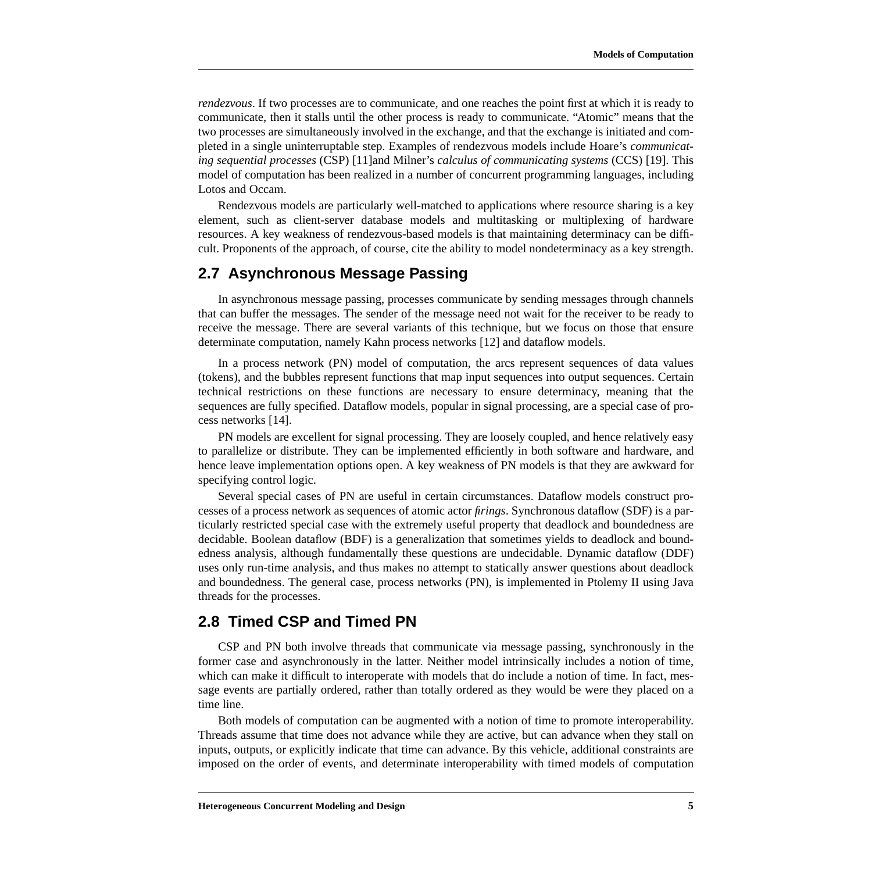<span id="page-4-0"></span>*rendezvous*. If two processes are to communicate, and one reaches the point first at which it is ready to communicate, then it stalls until the other process is ready to communicate. "Atomic" means that the two processes are simultaneously involved in the exchange, and that the exchange is initiated and completed in a single uninterruptable step. Examples of rendezvous models include Hoare's *communicating sequential processes* (CSP) [\[11\]a](#page-12-0)nd Milner's *calculus of communicating systems* (CCS) [\[19\].](#page-12-0) This model of computation has been realized in a number of concurrent programming languages, including Lotos and Occam.

Rendezvous models are particularly well-matched to applications where resource sharing is a key element, such as client-server database models and multitasking or multiplexing of hardware resources. A key weakness of rendezvous-based models is that maintaining determinacy can be difficult. Proponents of the approach, of course, cite the ability to model nondeterminacy as a key strength.

#### **2.7 Asynchronous Message Passing**

In asynchronous message passing, processes communicate by sending messages through channels that can buffer the messages. The sender of the message need not wait for the receiver to be ready to receive the message. There are several variants of this technique, but we focus on those that ensure determinate computation, namely Kahn process networks [1[2\] and](#page-12-0) dataflow models.

In a process network (PN) model of computation, the arcs represent sequences of data values (tokens), and the bubbles represent functions that map input sequences into output sequences. Certain technical restrictions on these functions are necessary to ensure determinacy, meaning that the sequences are fully specified. Dataflow models, popular in signal processing, are a special case of process networks [\[14\].](#page-12-0)

PN models are excellent for signal processing. They are loosely coupled, and hence relatively easy to parallelize or distribute. They can be implemented efficiently in both software and hardware, and hence leave implementation options open. A key weakness of PN models is that they are awkward for specifying control logic.

Several special cases of PN are useful in certain circumstances. Dataflow models construct processes of a process network as sequences of atomic actor *firings*. Synchronous dataflow (SDF) is a particularly restricted special case with the extremely useful property that deadlock and boundedness are decidable. Boolean dataflow (BDF) is a generalization that sometimes yields to deadlock and boundedness analysis, although fundamentally these questions are undecidable. Dynamic dataflow (DDF) uses only run-time analysis, and thus makes no attempt to statically answer questions about deadlock and boundedness. The general case, process networks (PN), is implemented in Ptolemy II using Java threads for the processes.

### **2.8 Timed CSP and Timed PN**

CSP and PN both involve threads that communicate via message passing, synchronously in the former case and asynchronously in the latter. Neither model intrinsically includes a notion of time, which can make it difficult to interoperate with models that do include a notion of time. In fact, message events are partially ordered, rather than totally ordered as they would be were they placed on a time line.

Both models of computation can be augmented with a notion of time to promote interoperability. Threads assume that time does not advance while they are active, but can advance when they stall on inputs, outputs, or explicitly indicate that time can advance. By this vehicle, additional constraints are imposed on the order of events, and determinate interoperability with timed models of computation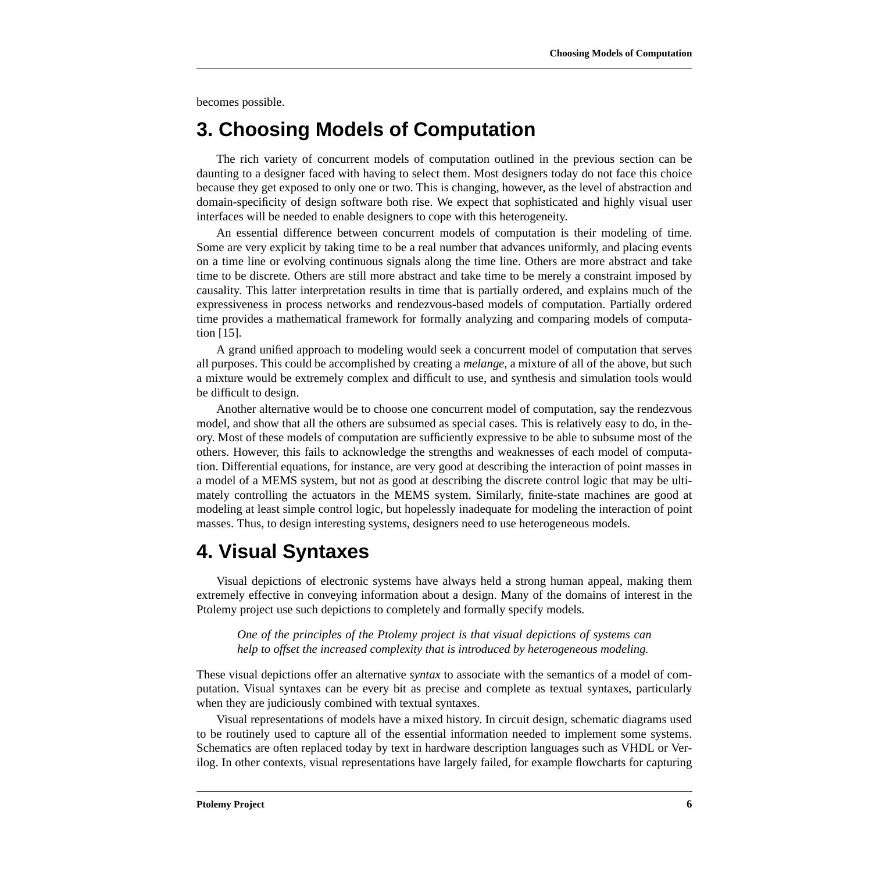becomes possible.

# **3. Choosing Models of Computation**

The rich variety of concurrent models of computation outlined in the previous section can be daunting to a designer faced with having to select them. Most designers today do not face this choice because they get exposed to only one or two. This is changing, however, as the level of abstraction and domain-specificity of design software both rise. We expect that sophisticated and highly visual user interfaces will be needed to enable designers to cope with this heterogeneity.

An essential difference between concurrent models of computation is their modeling of time. Some are very explicit by taking time to be a real number that advances uniformly, and placing events on a time line or evolving continuous signals along the time line. Others are more abstract and take time to be discrete. Others are still more abstract and take time to be merely a constraint imposed by causality. This latter interpretation results in time that is partially ordered, and explains much of the expressiveness in process networks and rendezvous-based models of computation. Partially ordered time provides a mathematical framework for formally analyzing and comparing models of computation [\[15\].](#page-12-0)

A grand unified approach to modeling would seek a concurrent model of computation that serves all purposes. This could be accomplished by creating a *melange*, a mixture of all of the above, but such a mixture would be extremely complex and difficult to use, and synthesis and simulation tools would be difficult to design.

Another alternative would be to choose one concurrent model of computation, say the rendezvous model, and show that all the others are subsumed as special cases. This is relatively easy to do, in theory. Most of these models of computation are sufficiently expressive to be able to subsume most of the others. However, this fails to acknowledge the strengths and weaknesses of each model of computation. Differential equations, for instance, are very good at describing the interaction of point masses in a model of a MEMS system, but not as good at describing the discrete control logic that may be ultimately controlling the actuators in the MEMS system. Similarly, finite-state machines are good at modeling at least simple control logic, but hopelessly inadequate for modeling the interaction of point masses. Thus, to design interesting systems, designers need to use heterogeneous models.

# **4. Visual Syntaxes**

Visual depictions of electronic systems have always held a strong human appeal, making them extremely effective in conveying information about a design. Many of the domains of interest in the Ptolemy project use such depictions to completely and formally specify models.

*One of the principles of the Ptolemy project is that visual depictions of systems can help to offset the increased complexity that is introduced by heterogeneous modeling.*

These visual depictions offer an alternative *syntax* to associate with the semantics of a model of computation. Visual syntaxes can be every bit as precise and complete as textual syntaxes, particularly when they are judiciously combined with textual syntaxes.

Visual representations of models have a mixed history. In circuit design, schematic diagrams used to be routinely used to capture all of the essential information needed to implement some systems. Schematics are often replaced today by text in hardware description languages such as VHDL or Verilog. In other contexts, visual representations have largely failed, for example flowcharts for capturing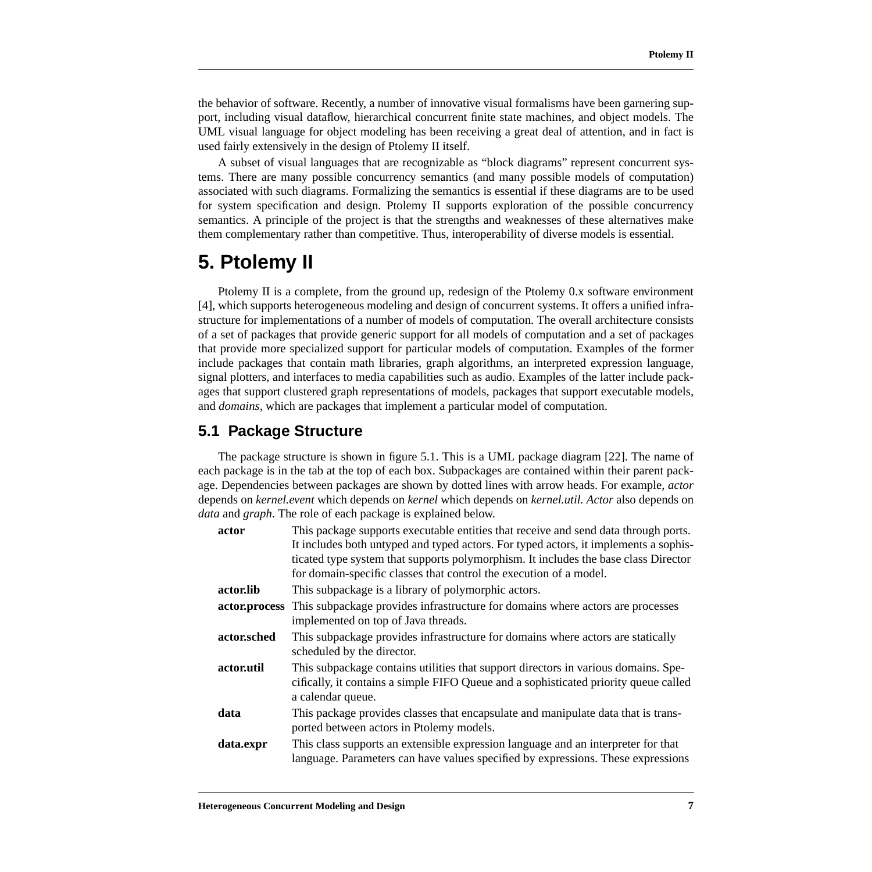the behavior of software. Recently, a number of innovative visual formalisms have been garnering support, including visual dataflow, hierarchical concurrent finite state machines, and object models. The UML visual language for object modeling has been receiving a great deal of attention, and in fact is used fairly extensively in the design of Ptolemy II itself.

A subset of visual languages that are recognizable as "block diagrams" represent concurrent systems. There are many possible concurrency semantics (and many possible models of computation) associated with such diagrams. Formalizing the semantics is essential if these diagrams are to be used for system specification and design. Ptolemy II supports exploration of the possible concurrency semantics. A principle of the project is that the strengths and weaknesses of these alternatives make them complementary rather than competitive. Thus, interoperability of diverse models is essential.

# **5. Ptolemy II**

Ptolemy II is a complete, from the ground up, redesign of the Ptolemy 0.x software environment [\[4\],](#page-12-0) which supports heterogeneous modeling and design of concurrent systems. It offers a unified infrastructure for implementations of a number of models of computation. The overall architecture consists of a set of packages that provide generic support for all models of computation and a set of packages that provide more specialized support for particular models of computation. Examples of the former include packages that contain math libraries, graph algorithms, an interpreted expression language, signal plotters, and interfaces to media capabilities such as audio. Examples of the latter include packages that support clustered graph representations of models, packages that support executable models, and *domains*, which are packages that implement a particular model of computation.

## **5.1 Package Structure**

The package structure is shown in figure [5.1.](#page-7-0) This is a UML package diagram [\[22\].](#page-13-0) The name of each package is in the tab at the top of each box. Subpackages are contained within their parent package. Dependencies between packages are shown by dotted lines with arrow heads. For example, *actor* depends on *kernel.event* which depends on *kernel* which depends on *kernel.util. Actor* also depends on *data* and *graph*. The role of each package is explained below.

| actor       | This package supports executable entities that receive and send data through ports.<br>It includes both untyped and typed actors. For typed actors, it implements a sophis-<br>ticated type system that supports polymorphism. It includes the base class Director<br>for domain-specific classes that control the execution of a model. |
|-------------|------------------------------------------------------------------------------------------------------------------------------------------------------------------------------------------------------------------------------------------------------------------------------------------------------------------------------------------|
| actor.lib   | This subpackage is a library of polymorphic actors.                                                                                                                                                                                                                                                                                      |
|             | actor.process This subpackage provides infrastructure for domains where actors are processes<br>implemented on top of Java threads.                                                                                                                                                                                                      |
| actor.sched | This subpackage provides infrastructure for domains where actors are statically<br>scheduled by the director.                                                                                                                                                                                                                            |
| actor.util  | This subpackage contains utilities that support directors in various domains. Spe-<br>cifically, it contains a simple FIFO Queue and a sophisticated priority queue called<br>a calendar queue.                                                                                                                                          |
| data        | This package provides classes that encapsulate and manipulate data that is trans-<br>ported between actors in Ptolemy models.                                                                                                                                                                                                            |
| data.expr   | This class supports an extensible expression language and an interpreter for that<br>language. Parameters can have values specified by expressions. These expressions                                                                                                                                                                    |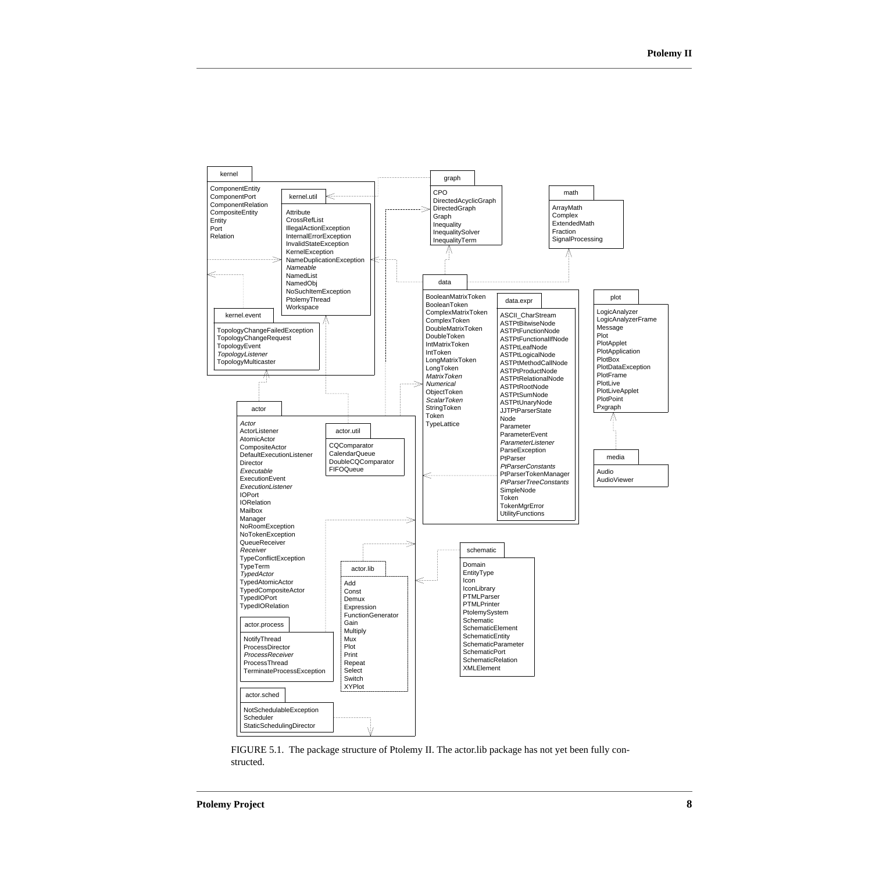<span id="page-7-0"></span>

FIGURE 5.1. The package structure of Ptolemy II. The actor.lib package has not yet been fully constructed.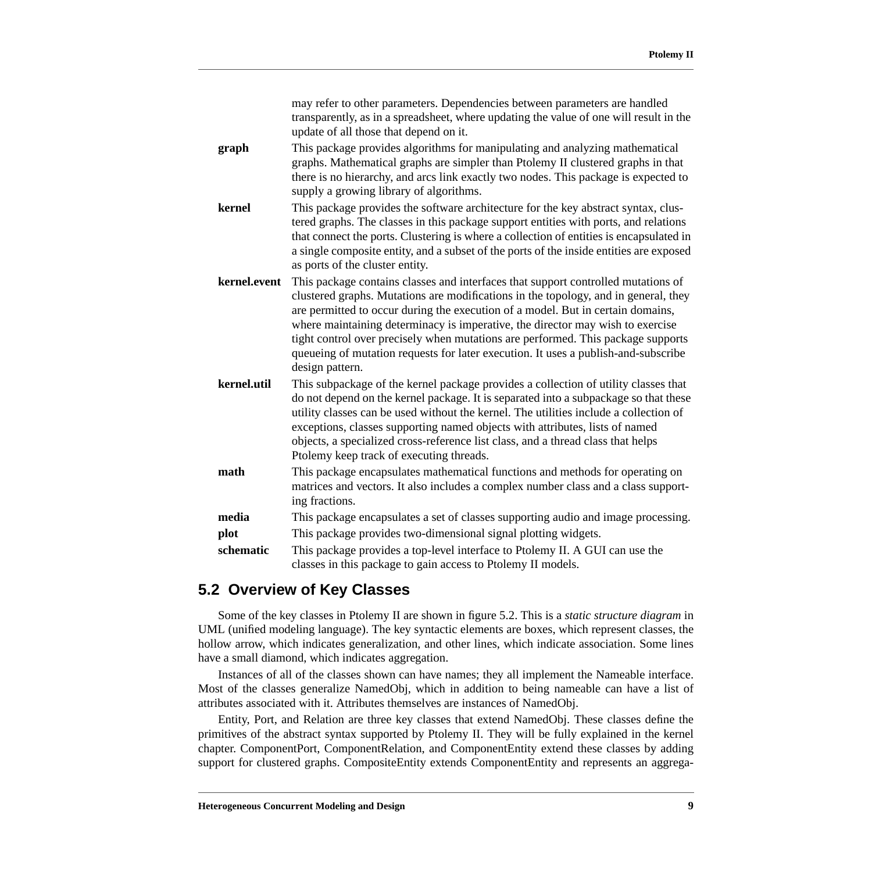|              | may refer to other parameters. Dependencies between parameters are handled<br>transparently, as in a spreadsheet, where updating the value of one will result in the<br>update of all those that depend on it.                                                                                                                                                                                                                                                                                                                             |
|--------------|--------------------------------------------------------------------------------------------------------------------------------------------------------------------------------------------------------------------------------------------------------------------------------------------------------------------------------------------------------------------------------------------------------------------------------------------------------------------------------------------------------------------------------------------|
| graph        | This package provides algorithms for manipulating and analyzing mathematical<br>graphs. Mathematical graphs are simpler than Ptolemy II clustered graphs in that<br>there is no hierarchy, and arcs link exactly two nodes. This package is expected to<br>supply a growing library of algorithms.                                                                                                                                                                                                                                         |
| kernel       | This package provides the software architecture for the key abstract syntax, clus-<br>tered graphs. The classes in this package support entities with ports, and relations<br>that connect the ports. Clustering is where a collection of entities is encapsulated in<br>a single composite entity, and a subset of the ports of the inside entities are exposed<br>as ports of the cluster entity.                                                                                                                                        |
| kernel.event | This package contains classes and interfaces that support controlled mutations of<br>clustered graphs. Mutations are modifications in the topology, and in general, they<br>are permitted to occur during the execution of a model. But in certain domains,<br>where maintaining determinacy is imperative, the director may wish to exercise<br>tight control over precisely when mutations are performed. This package supports<br>queueing of mutation requests for later execution. It uses a publish-and-subscribe<br>design pattern. |
| kernel.util  | This subpackage of the kernel package provides a collection of utility classes that<br>do not depend on the kernel package. It is separated into a subpackage so that these<br>utility classes can be used without the kernel. The utilities include a collection of<br>exceptions, classes supporting named objects with attributes, lists of named<br>objects, a specialized cross-reference list class, and a thread class that helps<br>Ptolemy keep track of executing threads.                                                       |
| math         | This package encapsulates mathematical functions and methods for operating on<br>matrices and vectors. It also includes a complex number class and a class support-<br>ing fractions.                                                                                                                                                                                                                                                                                                                                                      |
| media        | This package encapsulates a set of classes supporting audio and image processing.                                                                                                                                                                                                                                                                                                                                                                                                                                                          |
| plot         | This package provides two-dimensional signal plotting widgets.                                                                                                                                                                                                                                                                                                                                                                                                                                                                             |
| schematic    | This package provides a top-level interface to Ptolemy II. A GUI can use the<br>classes in this package to gain access to Ptolemy II models.                                                                                                                                                                                                                                                                                                                                                                                               |

## **5.2 Overview of Key Classes**

Some of the key classes in Ptolemy II are shown in figure [5.2.](#page-9-0) This is a *static structure diagram* in UML (unified modeling language). The key syntactic elements are boxes, which represent classes, the hollow arrow, which indicates generalization, and other lines, which indicate association. Some lines have a small diamond, which indicates aggregation.

Instances of all of the classes shown can have names; they all implement the Nameable interface. Most of the classes generalize NamedObj, which in addition to being nameable can have a list of attributes associated with it. Attributes themselves are instances of NamedObj.

Entity, Port, and Relation are three key classes that extend NamedObj. These classes define the primitives of the abstract syntax supported by Ptolemy II. They will be fully explained in the kernel chapter. ComponentPort, ComponentRelation, and ComponentEntity extend these classes by adding support for clustered graphs. CompositeEntity extends ComponentEntity and represents an aggrega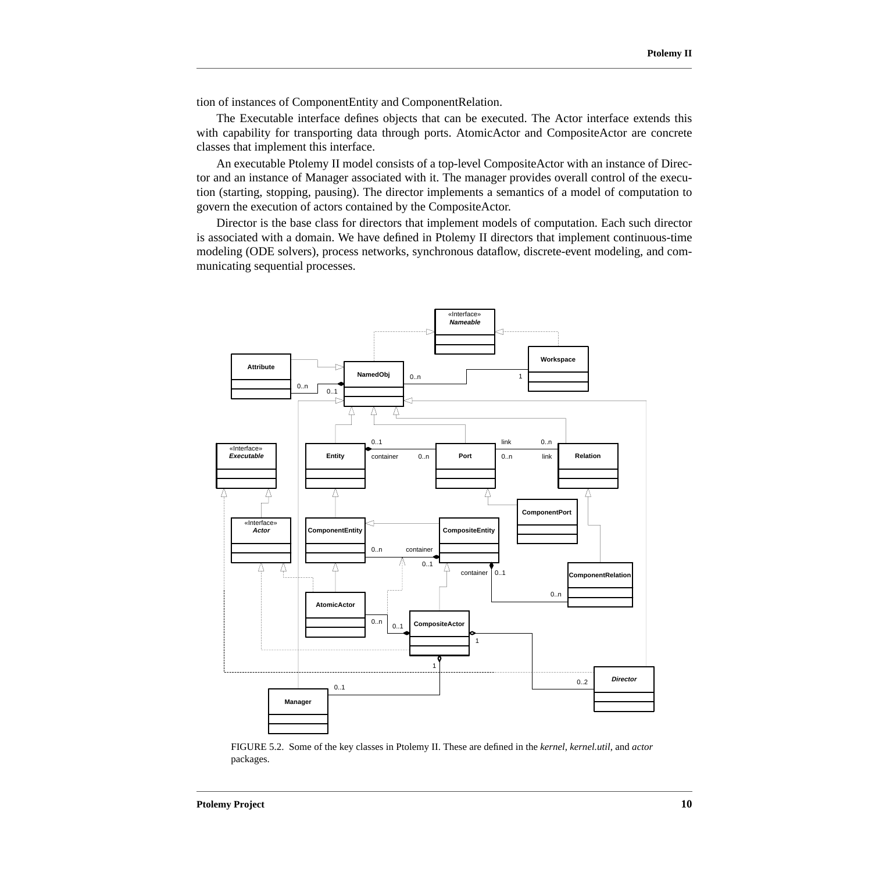<span id="page-9-0"></span>tion of instances of ComponentEntity and ComponentRelation.

The Executable interface defines objects that can be executed. The Actor interface extends this with capability for transporting data through ports. AtomicActor and CompositeActor are concrete classes that implement this interface.

An executable Ptolemy II model consists of a top-level CompositeActor with an instance of Director and an instance of Manager associated with it. The manager provides overall control of the execution (starting, stopping, pausing). The director implements a semantics of a model of computation to govern the execution of actors contained by the CompositeActor.

Director is the base class for directors that implement models of computation. Each such director is associated with a domain. We have defined in Ptolemy II directors that implement continuous-time modeling (ODE solvers), process networks, synchronous dataflow, discrete-event modeling, and communicating sequential processes.



FIGURE 5.2. Some of the key classes in Ptolemy II. These are defined in the *kernel*, *kernel.util*, and *actor* packages.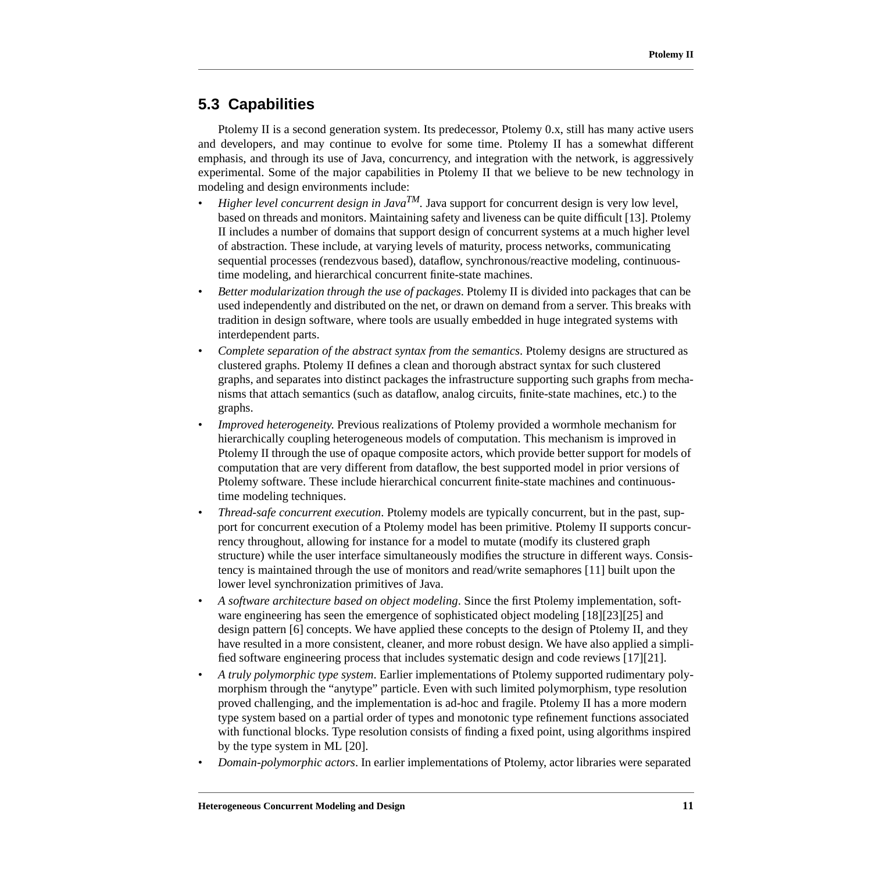## **5.3 Capabilities**

Ptolemy II is a second generation system. Its predecessor, Ptolemy 0.x, still has many active users and developers, and may continue to evolve for some time. Ptolemy II has a somewhat different emphasis, and through its use of Java, concurrency, and integration with the network, is aggressively experimental. Some of the major capabilities in Ptolemy II that we believe to be new technology in modeling and design environments include:

- *Higher level concurrent design in Java*<sup>*TM*</sup>. Java support for concurrent design is very low level, based on threads and monitors. Maintaining safety and liveness can be quite difficult [\[13\].](#page-12-0) Ptolemy II includes a number of domains that support design of concurrent systems at a much higher level of abstraction. These include, at varying levels of maturity, process networks, communicating sequential processes (rendezvous based), dataflow, synchronous/reactive modeling, continuoustime modeling, and hierarchical concurrent finite-state machines.
- *Better modularization through the use of packages*. Ptolemy II is divided into packages that can be used independently and distributed on the net, or drawn on demand from a server. This breaks with tradition in design software, where tools are usually embedded in huge integrated systems with interdependent parts.
- *Complete separation of the abstract syntax from the semantics*. Ptolemy designs are structured as clustered graphs. Ptolemy II defines a clean and thorough abstract syntax for such clustered graphs, and separates into distinct packages the infrastructure supporting such graphs from mechanisms that attach semantics (such as dataflow, analog circuits, finite-state machines, etc.) to the graphs.
- *Improved heterogeneity*. Previous realizations of Ptolemy provided a wormhole mechanism for hierarchically coupling heterogeneous models of computation. This mechanism is improved in Ptolemy II through the use of opaque composite actors, which provide better support for models of computation that are very different from dataflow, the best supported model in prior versions of Ptolemy software. These include hierarchical concurrent finite-state machines and continuoustime modeling techniques.
- *Thread-safe concurrent execution*. Ptolemy models are typically concurrent, but in the past, support for concurrent execution of a Ptolemy model has been primitive. Ptolemy II supports concurrency throughout, allowing for instance for a model to mutate (modify its clustered graph structure) while the user interface simultaneously modifies the structure in different ways. Consistency is maintained through the use of monitors and read/write semaphores [1[1\] bu](#page-12-0)ilt upon the lower level synchronization primitives of Java.
- *A software architecture based on object modeling*. Since the first Ptolemy implementation, software engineering has seen the emergence of sophisticated object modeling [18[\]\[23\]](#page-12-0)[\[25\] and](#page-13-0) design pattern [\[6\]](#page-12-0) concepts. We have applied these concepts to the design of Ptolemy II, and they have resulted in a more consistent, cleaner, and more robust design. We have also applied a simplified software engineering process that includes systematic design and code reviews [17[\]\[21\]](#page-12-0)[.](#page-13-0)
- *A truly polymorphic type system*. Earlier implementations of Ptolemy supported rudimentary polymorphism through the "anytype" particle. Even with such limited polymorphism, type resolution proved challenging, and the implementation is ad-hoc and fragile. Ptolemy II has a more modern type system based on a partial order of types and monotonic type refinement functions associated with functional blocks. Type resolution consists of finding a fixed point, using algorithms inspired by the type system in ML [[20\].](#page-13-0)
- *Domain-polymorphic actors*. In earlier implementations of Ptolemy, actor libraries were separated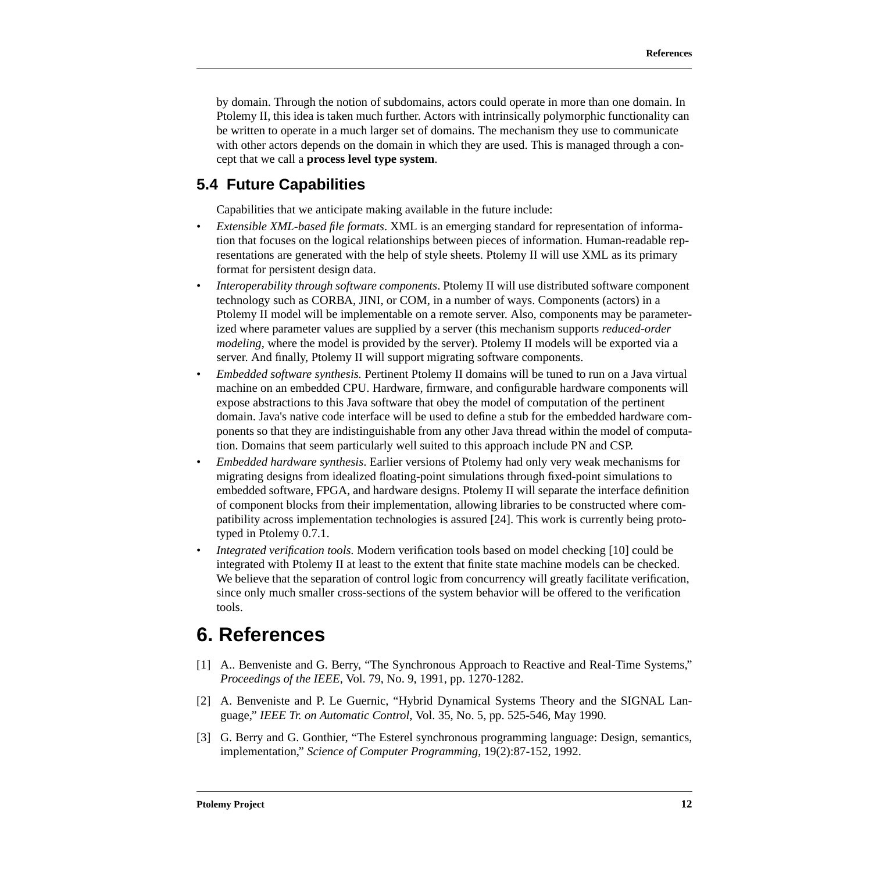<span id="page-11-0"></span>by domain. Through the notion of subdomains, actors could operate in more than one domain. In Ptolemy II, this idea is taken much further. Actors with intrinsically polymorphic functionality can be written to operate in a much larger set of domains. The mechanism they use to communicate with other actors depends on the domain in which they are used. This is managed through a concept that we call a **process level type system**.

## **5.4 Future Capabilities**

Capabilities that we anticipate making available in the future include:

- *Extensible XML-based file formats*. XML is an emerging standard for representation of information that focuses on the logical relationships between pieces of information. Human-readable representations are generated with the help of style sheets. Ptolemy II will use XML as its primary format for persistent design data.
- *Interoperability through software components*. Ptolemy II will use distributed software component technology such as CORBA, JINI, or COM, in a number of ways. Components (actors) in a Ptolemy II model will be implementable on a remote server. Also, components may be parameterized where parameter values are supplied by a server (this mechanism supports *reduced-order modeling*, where the model is provided by the server). Ptolemy II models will be exported via a server. And finally, Ptolemy II will support migrating software components.
- *Embedded software synthesis.* Pertinent Ptolemy II domains will be tuned to run on a Java virtual machine on an embedded CPU. Hardware, firmware, and configurable hardware components will expose abstractions to this Java software that obey the model of computation of the pertinent domain. Java's native code interface will be used to define a stub for the embedded hardware components so that they are indistinguishable from any other Java thread within the model of computation. Domains that seem particularly well suited to this approach include PN and CSP.
- *Embedded hardware synthesis*. Earlier versions of Ptolemy had only very weak mechanisms for migrating designs from idealized floating-point simulations through fixed-point simulations to embedded software, FPGA, and hardware designs. Ptolemy II will separate the interface definition of component blocks from their implementation, allowing libraries to be constructed where compatibility across implementation technologies is assured [\[24\].](#page-13-0) This work is currently being prototyped in Ptolemy 0.7.1.
- *Integrated verification tools.* Modern verification tools based on model checking [1[0\] cou](#page-12-0)ld be integrated with Ptolemy II at least to the extent that finite state machine models can be checked. We believe that the separation of control logic from concurrency will greatly facilitate verification, since only much smaller cross-sections of the system behavior will be offered to the verification tools.

# **6. References**

- [1] A.. Benveniste and G. Berry, "The Synchronous Approach to Reactive and Real-Time Systems," *Proceedings of the IEEE*, Vol. 79, No. 9, 1991, pp. 1270-1282.
- [2] A. Benveniste and P. Le Guernic, "Hybrid Dynamical Systems Theory and the SIGNAL Language," *IEEE Tr. on Automatic Control*, Vol. 35, No. 5, pp. 525-546, May 1990.
- [3] G. Berry and G. Gonthier, "The Esterel synchronous programming language: Design, semantics, implementation," *Science of Computer Programming*, 19(2):87-152, 1992.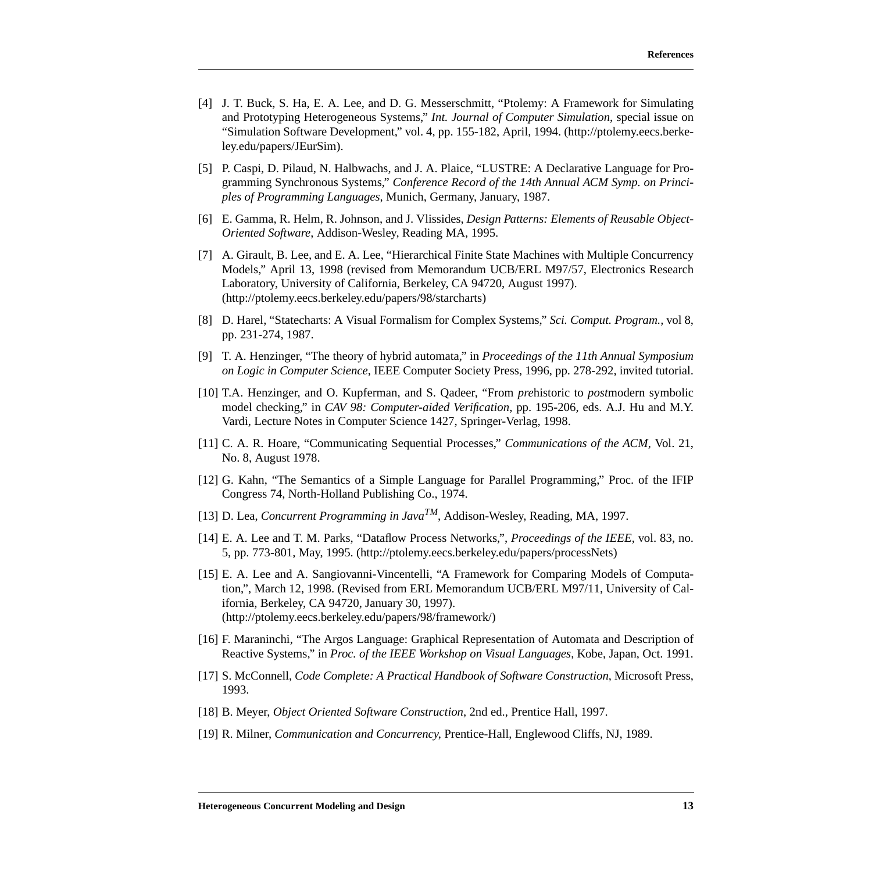- <span id="page-12-0"></span>[4] J. T. Buck, S. Ha, E. A. Lee, and D. G. Messerschmitt, "Ptolemy: A Framework for Simulating and Prototyping Heterogeneous Systems," *Int. Journal of Computer Simulation*, special issue on "Simulation Software Development," vol. 4, pp. 155-182, April, 1994. (http://ptolemy.eecs.berkeley.edu/papers/JEurSim).
- [5] P. Caspi, D. Pilaud, N. Halbwachs, and J. A. Plaice, "LUSTRE: A Declarative Language for Programming Synchronous Systems," *Conference Record of the 14th Annual ACM Symp. on Principles of Programming Languages,* Munich, Germany, January, 1987.
- [6] E. Gamma, R. Helm, R. Johnson, and J. Vlissides, *Design Patterns: Elements of Reusable Object-Oriented Software*, Addison-Wesley, Reading MA, 1995.
- [7] A. Girault, B. Lee, and E. A. Lee, "Hierarchical Finite State Machines with Multiple Concurrency Models," April 13, 1998 (revised from Memorandum UCB/ERL M97/57, Electronics Research Laboratory, University of California, Berkeley, CA 94720, August 1997). (http://ptolemy.eecs.berkeley.edu/papers/98/starcharts)
- [8] D. Harel, "Statecharts: A Visual Formalism for Complex Systems," *Sci. Comput. Program.,* vol 8, pp. 231-274, 1987.
- [9] T. A. Henzinger, "The theory of hybrid automata," in *Proceedings of the 11th Annual Symposium on Logic in Computer Science*, IEEE Computer Society Press, 1996, pp. 278-292, invited tutorial.
- [10] T.A. Henzinger, and O. Kupferman, and S. Qadeer, "From *pre*historic to *post*modern symbolic model checking," in *CAV 98: Computer-aided Verification*, pp. 195-206, eds. A.J. Hu and M.Y. Vardi, Lecture Notes in Computer Science 1427, Springer-Verlag, 1998.
- [11] C. A. R. Hoare, "Communicating Sequential Processes," *Communications of the ACM*, Vol. 21, No. 8, August 1978.
- [12] G. Kahn, "The Semantics of a Simple Language for Parallel Programming," Proc. of the IFIP Congress 74, North-Holland Publishing Co., 1974.
- [13] D. Lea, *Concurrent Programming in JavaTM*, Addison-Wesley, Reading, MA, 1997.
- [14] E. A. Lee and T. M. Parks, "Dataflow Process Networks,", *Proceedings of the IEEE*, vol. 83, no. 5, pp. 773-801, May, 1995. (http://ptolemy.eecs.berkeley.edu/papers/processNets)
- [15] E. A. Lee and A. Sangiovanni-Vincentelli, "A Framework for Comparing Models of Computation,", March 12, 1998. (Revised from ERL Memorandum UCB/ERL M97/11, University of California, Berkeley, CA 94720, January 30, 1997). (http://ptolemy.eecs.berkeley.edu/papers/98/framework/)
- [16] F. Maraninchi, "The Argos Language: Graphical Representation of Automata and Description of Reactive Systems," in *Proc. of the IEEE Workshop on Visual Languages*, Kobe, Japan, Oct. 1991.
- [17] S. McConnell, *Code Complete: A Practical Handbook of Software Construction*, Microsoft Press, 1993.
- [18] B. Meyer, *Object Oriented Software Construction*, 2nd ed., Prentice Hall, 1997.
- [19] R. Milner, *Communication and Concurrency*, Prentice-Hall, Englewood Cliffs, NJ, 1989.